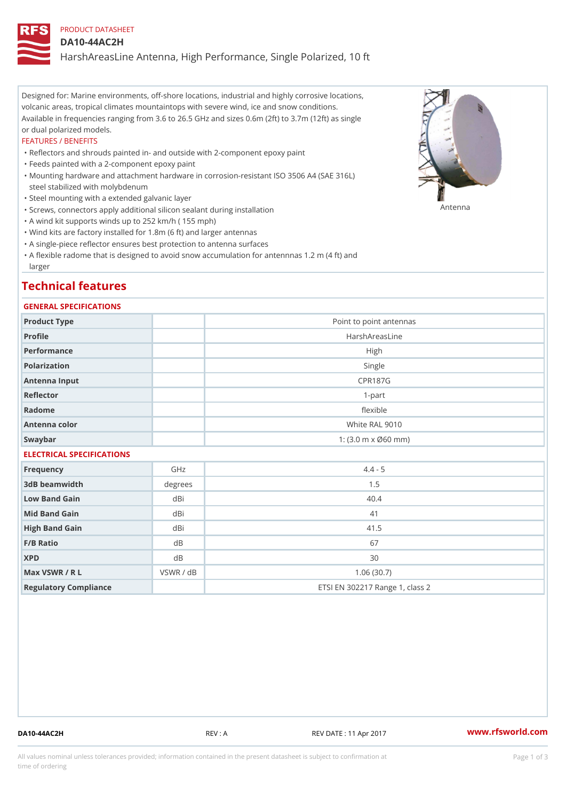## PRODUCT DATASHEET

#### DA10-44AC2H

HarshAreasLine Antenna, High Performance, Single Polarized, 10 ft

Designed for: Marine environments, off-shore locations, industrial and highly corrosive locations, volcanic areas, tropical climates mountaintops with severe wind, ice and snow conditions. Available in frequencies ranging from 3.6 to 26.5 GHz and sizes 0.6m (2ft) to 3.7m (12ft) as single or dual polarized models.

#### FEATURES / BENEFITS

"Reflectors and shrouds painted in- and outside with 2-component epoxy paint

- "Feeds painted with a 2-component epoxy paint
- Mounting hardware and attachment hardware in corrosion-resistant ISO 3506 A4 (SAE 316L) " steel stabilized with molybdenum
- "Steel mounting with a extended galvanic layer
- "Screws, connectors apply additional silicon sealant during installation Antenna
- "A wind kit supports winds up to 252 km/h ( 155 mph)
- "Wind kits are factory installed for 1.8m (6 ft) and larger antennas
- "A single-piece reflector ensures best protection to antenna surfaces
- "A flexible radome that is designed to avoid snow accumulation for antennnas 1.2 m (4 ft) and larger

# Technical features

#### GENERAL SPECIFICATIONS

| Product Type              |                | Point to point antennas                                 |  |  |
|---------------------------|----------------|---------------------------------------------------------|--|--|
| Profile                   | HarshAreasLine |                                                         |  |  |
| Performance               | High           |                                                         |  |  |
| Polarization              | Single         |                                                         |  |  |
| Antenna Input             |                | <b>CPR187G</b>                                          |  |  |
| Reflector                 |                | $1 - p$ art                                             |  |  |
| Radome                    |                | flexible                                                |  |  |
| Antenna color             |                | White RAL 9010                                          |  |  |
| Swaybar                   |                | 1: $(3.0 \, \text{m} \times \emptyset 60 \, \text{mm})$ |  |  |
| ELECTRICAL SPECIFICATIONS |                |                                                         |  |  |
| Frequency                 | GHz            | $4.4 - 5$                                               |  |  |
| 3dB beamwidth             | degrees        | 1.5                                                     |  |  |
| Low Band Gain             | dBi            | 40.4                                                    |  |  |
| Mid Band Gain             | dBi            | 41                                                      |  |  |
| High Band Gain            | dBi            | 41.5                                                    |  |  |
| $F/B$ Ratio               | d B            | 67                                                      |  |  |
| <b>XPD</b>                | d B            | 30                                                      |  |  |
| Max VSWR / R L            | VSWR / dB      | 1.06(30.7)                                              |  |  |
| Regulatory Compliance     |                | ETSI EN 302217 Range 1, class 2                         |  |  |

DA10-44AC2H REV : A REV DATE : 11 Apr 2017 [www.](https://www.rfsworld.com)rfsworld.com

All values nominal unless tolerances provided; information contained in the present datasheet is subject to Pcapgeign mation time of ordering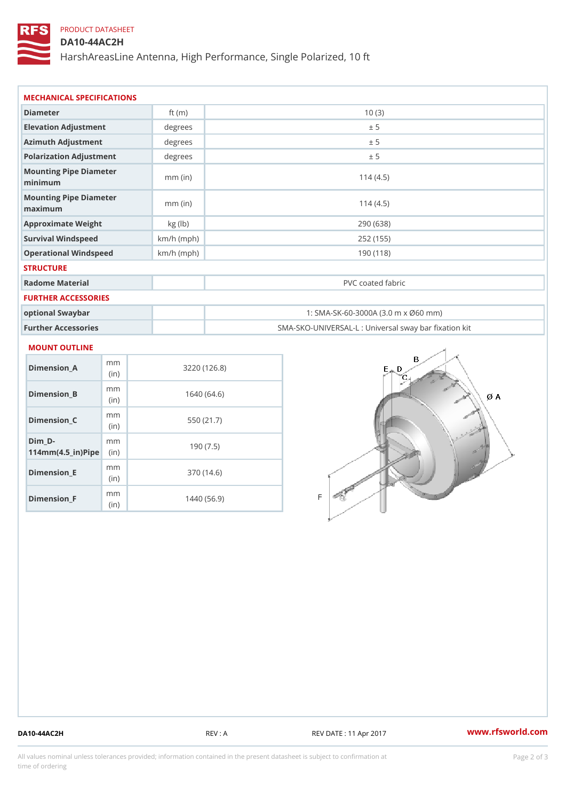# PRODUCT DATASHEET

## DA10-44AC2H

HarshAreasLine Antenna, High Performance, Single Polarized, 10 ft

| MECHANICAL SPECIFICATIONS         |              |                                                     |  |  |  |  |  |
|-----------------------------------|--------------|-----------------------------------------------------|--|--|--|--|--|
| Diameter                          | ft $(m)$     | 10(3)                                               |  |  |  |  |  |
| Elevation Adjustment              | degrees      | ± 5                                                 |  |  |  |  |  |
| Azimuth Adjustment                | degrees      | ± 5                                                 |  |  |  |  |  |
| Polarization Adjustment           | degrees      | ± 5                                                 |  |  |  |  |  |
| Mounting Pipe Diameter<br>minimum | $mm$ (in)    | 114(4.5)                                            |  |  |  |  |  |
| Mounting Pipe Diameter<br>maximum | $mm$ (in)    | 114(4.5)                                            |  |  |  |  |  |
| Approximate Weight                | kg (lb)      | 290 (638)                                           |  |  |  |  |  |
| Survival Windspeed                | $km/h$ (mph) | 252 (155)                                           |  |  |  |  |  |
| Operational Windspeed             | $km/h$ (mph) | 190 (118)                                           |  |  |  |  |  |
| <b>STRUCTURE</b>                  |              |                                                     |  |  |  |  |  |
| Radome Material                   |              | PVC coated fabric                                   |  |  |  |  |  |
| FURTHER ACCESSORIES               |              |                                                     |  |  |  |  |  |
| ontional Swayhar                  |              | $1.$ SMA-SK-60-3000A (3 0 m x $(9.60 \text{ mm})$ ) |  |  |  |  |  |

# optional Swaybar 1: SMA-SK-60-3000A (3.0 m x Ø60 mm) Further Accessories SMA-SKO-UNIVERSAL-L : Universal sway bar fixation kit

#### MOUNT OUTLINE

| Dimension A                       | m m<br>(in)  | 3220(126.8) |
|-----------------------------------|--------------|-------------|
| Dimension_B                       | m m<br>(i n) | 1640 (64.6) |
| Dimension_C                       | m m<br>(i n) | 550 (21.7)  |
| Dim D-<br>$114mm(4.5_{ir})$ $Rip$ | m m          | 190 (7.5)   |
| Dimension E                       | m m<br>(i n) | 370 (14.6)  |
| Dimension <sub>_F</sub>           | m m<br>(i n) | 1440 (56.9) |

DA10-44AC2H REV : A REV DATE : 11 Apr 2017 [www.](https://www.rfsworld.com)rfsworld.com